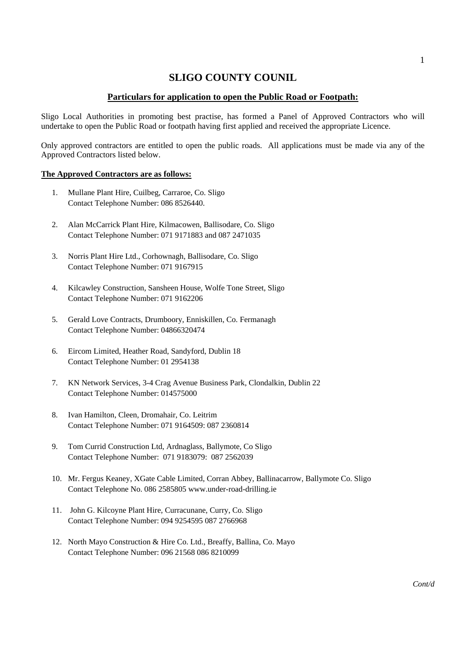## **SLIGO COUNTY COUNIL**

## **Particulars for application to open the Public Road or Footpath:**

Sligo Local Authorities in promoting best practise, has formed a Panel of Approved Contractors who will undertake to open the Public Road or footpath having first applied and received the appropriate Licence.

Only approved contractors are entitled to open the public roads. All applications must be made via any of the Approved Contractors listed below.

## **The Approved Contractors are as follows:**

- 1. Mullane Plant Hire, Cuilbeg, Carraroe, Co. Sligo Contact Telephone Number: 086 8526440.
- 2. Alan McCarrick Plant Hire, Kilmacowen, Ballisodare, Co. Sligo Contact Telephone Number: 071 9171883 and 087 2471035
- 3. Norris Plant Hire Ltd., Corhownagh, Ballisodare, Co. Sligo Contact Telephone Number: 071 9167915
- 4. Kilcawley Construction, Sansheen House, Wolfe Tone Street, Sligo Contact Telephone Number: 071 9162206
- 5. Gerald Love Contracts, Drumboory, Enniskillen, Co. Fermanagh Contact Telephone Number: 04866320474
- 6. Eircom Limited, Heather Road, Sandyford, Dublin 18 Contact Telephone Number: 01 2954138
- 7. KN Network Services, 3-4 Crag Avenue Business Park, Clondalkin, Dublin 22 Contact Telephone Number: 014575000
- 8. Ivan Hamilton, Cleen, Dromahair, Co. Leitrim Contact Telephone Number: 071 9164509: 087 2360814
- 9. Tom Currid Construction Ltd, Ardnaglass, Ballymote, Co Sligo Contact Telephone Number: 071 9183079: 087 2562039
- 10. Mr. Fergus Keaney, XGate Cable Limited, Corran Abbey, Ballinacarrow, Ballymote Co. Sligo Contact Telephone No. 086 2585805 www.under-road-drilling.ie
- 11. John G. Kilcoyne Plant Hire, Curracunane, Curry, Co. Sligo Contact Telephone Number: 094 9254595 087 2766968
- 12. North Mayo Construction & Hire Co. Ltd., Breaffy, Ballina, Co. Mayo Contact Telephone Number: 096 21568 086 8210099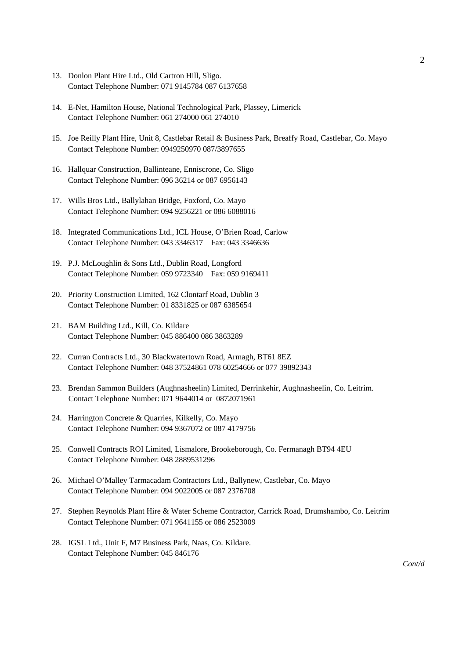- 13. Donlon Plant Hire Ltd., Old Cartron Hill, Sligo. Contact Telephone Number: 071 9145784 087 6137658
- 14. E-Net, Hamilton House, National Technological Park, Plassey, Limerick Contact Telephone Number: 061 274000 061 274010
- 15. Joe Reilly Plant Hire, Unit 8, Castlebar Retail & Business Park, Breaffy Road, Castlebar, Co. Mayo Contact Telephone Number: 0949250970 087/3897655
- 16. Hallquar Construction, Ballinteane, Enniscrone, Co. Sligo Contact Telephone Number: 096 36214 or 087 6956143
- 17. Wills Bros Ltd., Ballylahan Bridge, Foxford, Co. Mayo Contact Telephone Number: 094 9256221 or 086 6088016
- 18. Integrated Communications Ltd., ICL House, O'Brien Road, Carlow Contact Telephone Number: 043 3346317 Fax: 043 3346636
- 19. P.J. McLoughlin & Sons Ltd., Dublin Road, Longford Contact Telephone Number: 059 9723340 Fax: 059 9169411
- 20. Priority Construction Limited, 162 Clontarf Road, Dublin 3 Contact Telephone Number: 01 8331825 or 087 6385654
- 21. BAM Building Ltd., Kill, Co. Kildare Contact Telephone Number: 045 886400 086 3863289
- 22. Curran Contracts Ltd., 30 Blackwatertown Road, Armagh, BT61 8EZ Contact Telephone Number: 048 37524861 078 60254666 or 077 39892343
- 23. Brendan Sammon Builders (Aughnasheelin) Limited, Derrinkehir, Aughnasheelin, Co. Leitrim. Contact Telephone Number: 071 9644014 or 0872071961
- 24. Harrington Concrete & Quarries, Kilkelly, Co. Mayo Contact Telephone Number: 094 9367072 or 087 4179756
- 25. Conwell Contracts ROI Limited, Lismalore, Brookeborough, Co. Fermanagh BT94 4EU Contact Telephone Number: 048 2889531296
- 26. Michael O'Malley Tarmacadam Contractors Ltd., Ballynew, Castlebar, Co. Mayo Contact Telephone Number: 094 9022005 or 087 2376708
- 27. Stephen Reynolds Plant Hire & Water Scheme Contractor, Carrick Road, Drumshambo, Co. Leitrim Contact Telephone Number: 071 9641155 or 086 2523009
- 28. IGSL Ltd., Unit F, M7 Business Park, Naas, Co. Kildare. Contact Telephone Number: 045 846176